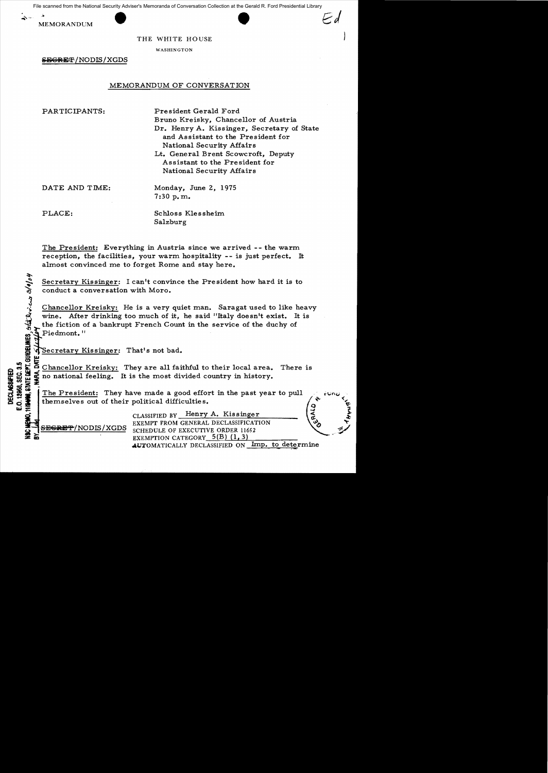File scanned from the National Security Adviser's Memoranda of Conversation Collection at the Gerald R. Ford Presidential Library





THE WHITE HOUSE

WASHINGTON

SEGRET/NODIS/XGDS

# MEMORANDUM OF CONVERSATION

PARTICIPANTS: President Gerald Ford

Bruno Kreisky, Chancellor of Austria Dr. Henry A. Kissinger, Secretary of State and Assistant to the President for National Security Affairs Lt. General Brent Scowcroft, Deputy Assistant to the President for National Security Mfairs

DATE AND TIME: Monday, June 2, 1975 7:30 p. m.

**INELINE** 

Cl.)1-.:~

**t.Li;:** 

PLACE: Schloss Klessheim Salzburg

The President: Everything in Austria since we arrived -- the warm reception, the facilities, your warm hospitality -- is just perfect. It almost convinced me to forget Rome and stay here.

 $\tilde{\mathbf{r}}$ Secretary Kissinger: I can't convince the President how hard it is to conduct a conversation with Moro.

Chancellor Kreisky: He is a very quiet man. Saragat used to like heavy wine. After drinking too much of it, he said "Italy doesn't exist. It is the fiction of a bankrupt French Count in the service of the duchy of Piedmont."

Secretary Kissinger: That's not bad.

e  $\frac{1}{2}$ : Chancellor Kreisky: They are all faithful to their local area. There is<br>consider the most divided country in history.<br> $\frac{1}{2}$ <br> $\frac{1}{2}$ <br> $\frac{1}{2}$ <br> $\frac{1}{2}$  The President: They have made a good effort in the no national feeling. It is the most divided country in history.

The President: They have made a good effort in the past year to pull themselves out of their political difficulties.

CLASSIFIED BY Henry A. Kissinger EXEMPT FROM GENERAL DECLASSIFICATION SEGRET/NODIS/XGDS SCHEDULE OF EXECUTIVE ORDER 11652 EXEMPTION CATEGORY  $5(B)$  (1, 3) AUTOMATICALLY DECLASSIFIED ON Imp. to determine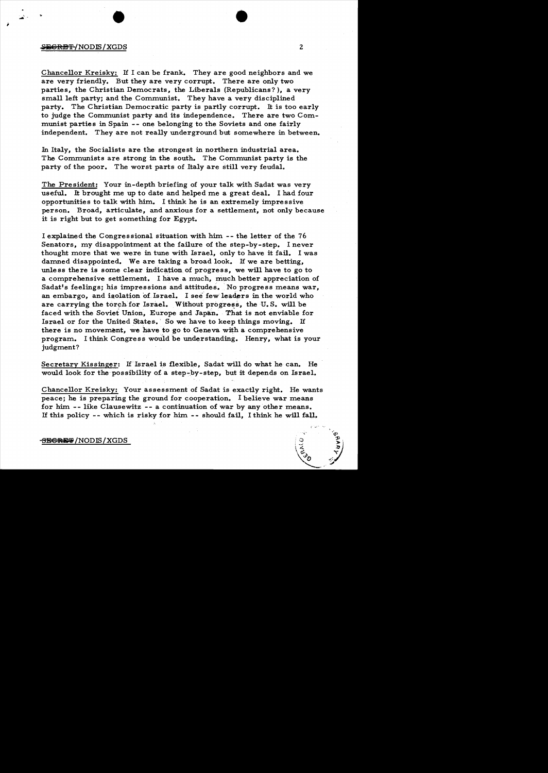#### $\rightarrow$  2  $\rightarrow$  2  $\rightarrow$  2  $\rightarrow$  2  $\rightarrow$  2  $\rightarrow$  2  $\rightarrow$  2  $\rightarrow$  2  $\rightarrow$  2  $\rightarrow$  2  $\rightarrow$  2  $\rightarrow$  2  $\rightarrow$  2  $\rightarrow$  2  $\rightarrow$  2  $\rightarrow$  2  $\rightarrow$  2  $\rightarrow$  2  $\rightarrow$  2  $\rightarrow$  2  $\rightarrow$  2  $\rightarrow$  2  $\rightarrow$  2  $\rightarrow$  2  $\rightarrow$  2  $\rightarrow$  2  $\rightarrow$  2  $\rightarrow$  2  $\rightarrow$  2  $\rightarrow$  2  $\rightarrow$  2  $\rightarrow$

 $\begin{array}{c} \begin{array}{c} \begin{array}{c} \dots \\ \dots \end{array} \end{array} \end{array}$ 

Chancellor Kreisky: H I can be frank. They are good neighbors and we are very friendly. But they are very corrupt. There are only two parties, the Christian Democrats, the Liberals (Republicans?), a very small left party; and the Communist. They have a very disciplined party. The Christian Democratic party is partly corrupt. It is too early to judge the Communist party and its independence. There are two Communist parties in Spain -- one belonging to the Soviets and one fairly independent. They are not really underground but somewhere in between.

In Italy, the Socialists are the strongest in northern industrial area. The Communists are strong in the south. The Communist party is the party of the poor. The worst parts of Italy are still very feudal.

The President: Your in-depth briefing of your talk with Sadat was very useful. It brought me up to date and helped me a great deal. I had four opportunities to talk with him. I think he is an extremely impressive person. Broad, articulate, and anxious for a settlement, not only because it is right but to get something for Egypt.

I explained the Congressional situation with him. -- the letter of the <sup>76</sup> Senators, my disappointment at the failure of the step-by-step. I never thought more that we were in tune with Israel, only to have it fail. I was damned disappointed. We are taking a broad look. H we are betting, unless there is some clear indication of progress, we will have to go to a comprehensive settlement. I have a much, much better appreciation of Sadat's feelings; his impressions and attitudes. No progress means war, an embargo, and isolation of. Israel. I see' few leaders in the world who are carrying the torch for Israel. Without progress, the U.S. will be faced with the Soviet Union, Europe and Japan. That is not enviable for Israel or for the United States. So we have to keep things moving. If there is no movement, we have to go to Geneva with a comprehensive program. I think Congress would be understanding. Henry, what is your judgment?

Secretary Kissinger: If Israel is flexible, Sadat will do what he can. He would look for the possibility of a step-by-step, but it depends on Israel.

Chancellor Kreisky: Your assessment of Sadat is exactly right. He wants peace; he is preparing the ground for cooperation. I believe war means for him -- like Clausewitz -- a continuation of war by any other means. H this policy - - which is risky for him. - - should fail, I think he will fall.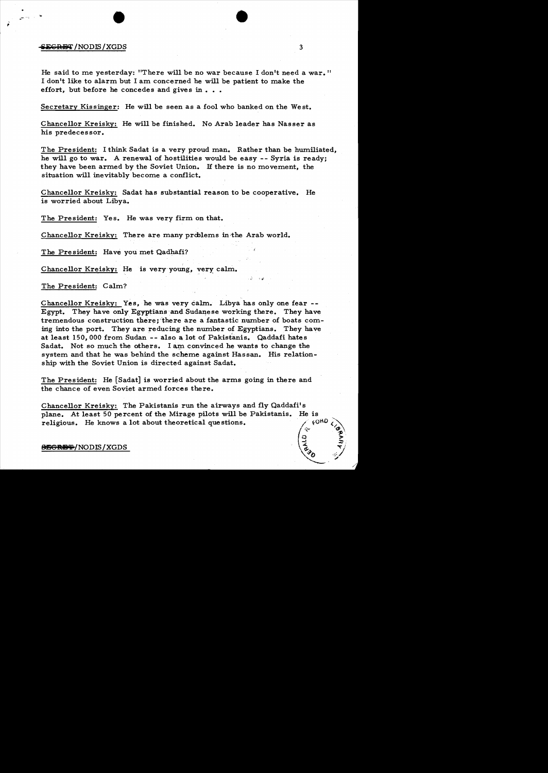#### **SEGRET / NODIS / XGDS**

He said to me yesterday: "There will be no war because I don't need a war. " I don't like to alarm but I am concerned he will be patient to make the effort, but before he concedes and gives in  $\ldots$ 

Secretary Kissinger: He will be seen as a fool who banked on the West.

Chancellor Kreisky: He will be finished. No Arab leader has Nasser as his predecessor.

The President: I think Sadat is a very proud man. Rather than be humiliated, he will go to war. A renewal of hostilities would be easy -- Syria is ready; they have been armed by the Soviet Union. H there is no movement, the situation will inevitably become a conflict.

Chancellor Kreisky: Sadat has substantial reason to be cooperative. He is worried about Libya.

The President: Yes. He was very firm on that.

,  $\frac{1}{2}$  ,  $\frac{1}{2}$  ,  $\frac{1}{2}$  ,  $\frac{1}{2}$  ,  $\frac{1}{2}$  ,  $\frac{1}{2}$  ,  $\frac{1}{2}$  ,  $\frac{1}{2}$  ,  $\frac{1}{2}$ 

Chancellor Kreisky: There are many problems in the Arab world.

The President: Have you met Qadhafi?

Chancellor Kreisky: He is very young, very calm.

The President: Calm?

Chancellor Kreisky: Yes, he was very calm. Libya has only one fear - Egypt. They have only Egyptians and Sudanese working there. They have tremendous construction there; 'there are a fantastic number of boats coming into the port. They are reducing the number of Egyptians. They have at least 150,000 from Sudan -- also a lot of Pakistanis. Qaddafi hates Sadat. Not so much the others. I am convinced he wants to change the system and that he was behind the scheme against Hassan. His relationship with the Soviet Union is directed against Sadat.

The President: He [Sadat] is worried about the arms going in there and the chance of even Soviet armed forces there.

Chancellor Kreisky: The Pakistanis run the airways and fly Qaddafi's plane. At least 50 percent of the Mirage pilots will be Pakistanis. He is religious. He knows a lot about theoretical questions.

#### $\bigoplus$ GRDT/NODIS/XGDS

3

'. .;:

*-p* a ,.

 $\sqrt{8}$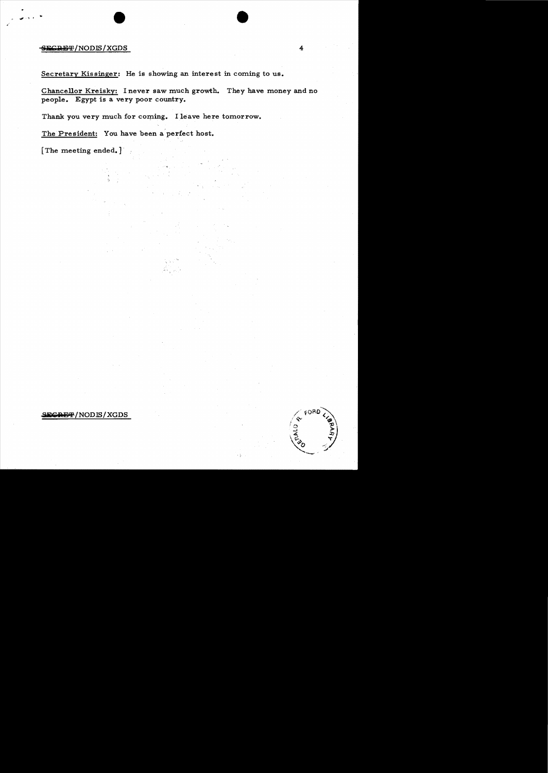## SECRET/NODIS/XGDS

Secretary Kissinger: He is showing an interest in coming to us.

Chancellor Kreisky: I never saw much growth. They have money and no people. Egypt is a very poor country.

Thank you very much for coming. I leave here tomorrow.

The President: You have been a perfect host.

[The meeting ended.]

### SE<del>CRET</del>/NODIS/XGDS



•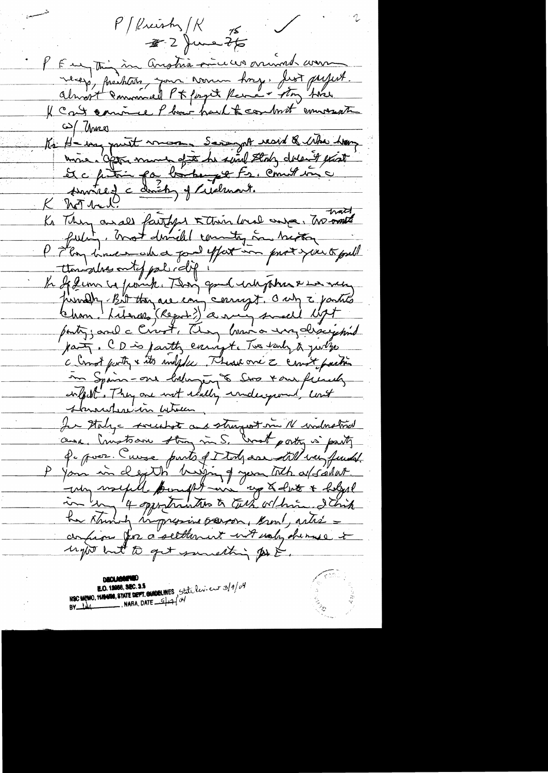$P$  / Preish $\frac{1}{K}$  15.  $32$  June 2/5 P Eugenin îm Anstria mineura arrivad com necess, facilitats, mon nomm hors, first profit<br>almost emmersel P t forget Reme + story have Il cont comme Phone hard to combrit emmerate (2) Unes<br>Kr H - way partit message Savanget resid & Who have mois. Opter monde of the he setted state date of excel St c futin par l'artemps Fs. Commission trait Kr They arall faithful & their local ange, The most fulity, most dissibil country in hasting P 7 long lines which a good effort in prove you to foul ttonische ontof pal rolif !" " firmelle Bit they are eary corrugt. Only 2 partite party; and a Crost, They have a ungalize y sind part, CD is partly carrigte Two sarly to yourlyo a longt party & its walpful. These are a court paction In Spain-one habinging & Stop tour french confert . They are not idelly indeceponed, cont stanarhere in which Je staly - sveechot and stragest me N walnotried aux, Crustian stry in S. Crest porty is party le pour Cuire parts de tods are till vai funds. P you in death bigging you toth affaiter. confirm for a settlement with waln, she muss it ugto but to get something to &.

NSC MEMO, 11/19400, STATE DEPT. OUNDER MES, State levieur 3/9/04 BY  $144$ , NARA, DATE  $544'$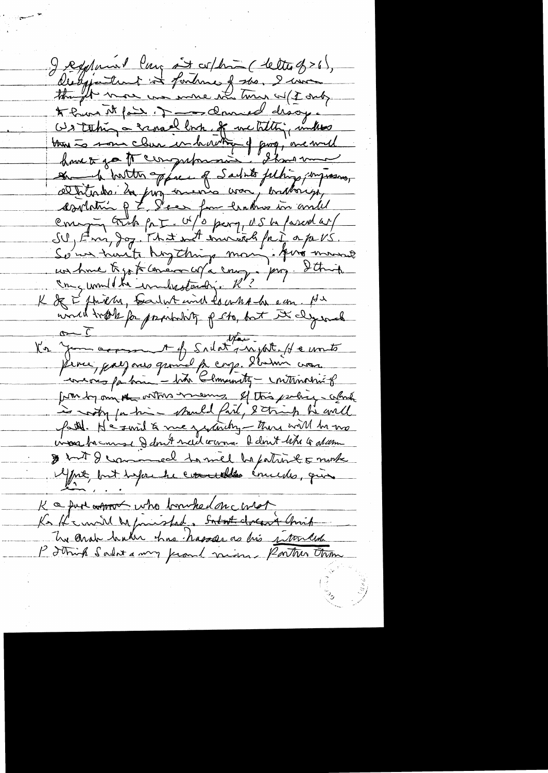I registament large and collected ( letter of > 6), Desipatement it fortunes of the I win though more we were who turns w (I only \* hun it fait it \_ danved disoge Ws taking a sanaal look of we tilly, until the Estate of Commencer of poor met Some traits hogthing mon, for money un hune tigo to concern cop a comp, prop. Itting uned trook for producting p sto, but It dy wel evering for him - bit Clamenty - internative form by one of onthe means of this perhic, white is rooty for him - stands fait, 8 things he avilled vivous baconnes de dont need vonne de dont tetre le alcomme & but I commed to mel be patint & number Mpre, but tapre le concelles émientes, qui K a fun approx who bourhed on const Ks He will be frieshed, Sodat close 4 Chris The ander haber has hasser as his intended P Johnh Salat a my frand vicining Porton tham